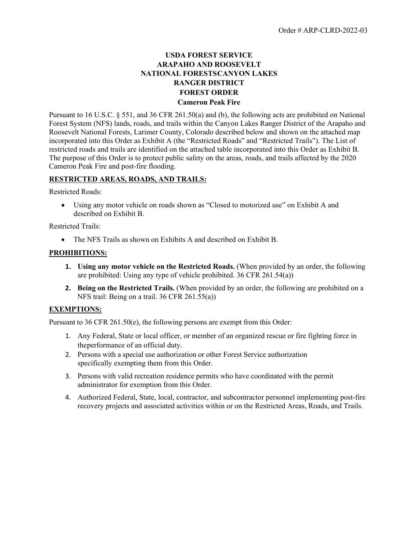## **USDA FOREST SERVICE ARAPAHO AND ROOSEVELT NATIONAL FORESTS CANYON LAKES RANGER DISTRICT FOREST ORDER Cameron Peak Fire**

Pursuant to 16 U.S.C. § 551, and 36 CFR 261.50(a) and (b), the following acts are prohibited on National Forest System (NFS) lands, roads, and trails within the Canyon Lakes Ranger District of the Arapaho and Roosevelt National Forests, Larimer County, Colorado described below and shown on the attached map incorporated into this Order as Exhibit A (the "Restricted Roads" and "Restricted Trails"). The List of restricted roads and trails are identified on the attached table incorporated into this Order as Exhibit B. The purpose of this Order is to protect public safety on the areas, roads, and trails affected by the 2020 Cameron Peak Fire and post‐fire flooding.

## **RESTRICTED AREAS, ROADS, AND TRAILS:**

Restricted Roads:

• Using any motor vehicle on roads shown as "Closed to motorized use" on Exhibit A and described on Exhibit B.

Restricted Trails:

• The NFS Trails as shown on Exhibits A and described on Exhibit B.

### **PROHIBITIONS:**

- **1. Using any motor vehicle on the Restricted Roads.** (When provided by an order, the following are prohibited: Using any type of vehicle prohibited. 36 CFR 261.54(a))
- **2. Being on the Restricted Trails.** (When provided by an order, the following are prohibited on a NFS trail: Being on a trail. 36 CFR 261.55(a))

#### **EXEMPTIONS:**

Pursuant to 36 CFR 261.50(e), the following persons are exempt from this Order:

- 1. Any Federal, State or local officer, or member of an organized rescue or fire fighting force in theperformance of an official duty.
- 2. Persons with a special use authorization or other Forest Service authorization specifically exempting them from this Order.
- 3. Persons with valid recreation residence permits who have coordinated with the permit administrator for exemption from this Order.
- 4. Authorized Federal, State, local, contractor, and subcontractor personnel implementing post-fire recovery projects and associated activities within or on the Restricted Areas, Roads, and Trails.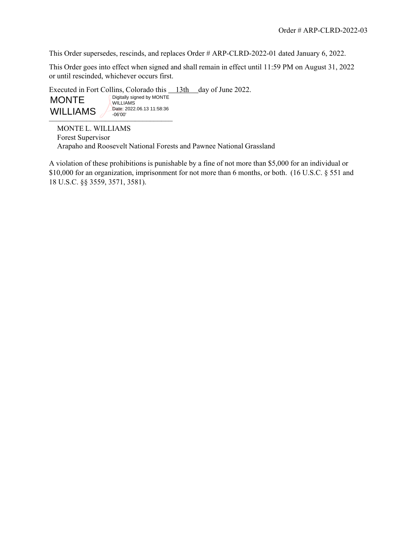This Order supersedes, rescinds, and replaces Order # ARP-CLRD-2022-01 dated January 6, 2022.

This Order goes into effect when signed and shall remain in effect until 11:59 PM on August 31, 2022 or until rescinded, whichever occurs first.

Executed in Fort Collins, Colorado this 13th day of June 2022.

 $\frac{1}{\sqrt{10000}}$ Digitally signed by MONTE WILLIAMS Date: 2022.06.13 11:58:36 -06'00'

MONTE WILLIAMS

> MONTE L. WILLIAMS Forest Supervisor Arapaho and Roosevelt National Forests and Pawnee National Grassland

A violation of these prohibitions is punishable by a fine of not more than \$5,000 for an individual or \$10,000 for an organization, imprisonment for not more than 6 months, or both. (16 U.S.C. § 551 and 18 U.S.C. §§ 3559, 3571, 3581).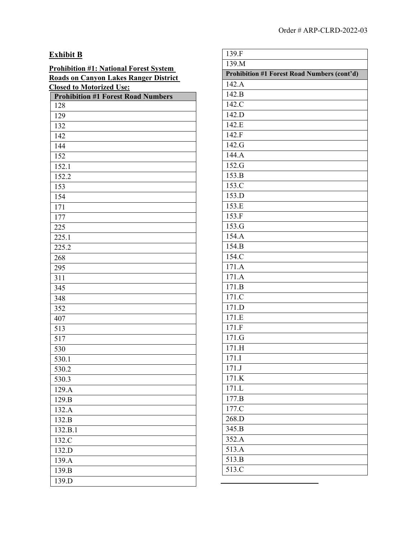# **Exhibit B**

| <b>Prohibition #1: National Forest System</b>    |  |  |
|--------------------------------------------------|--|--|
| <b>Roads on Canyon Lakes Ranger District</b>     |  |  |
| <b>Closed to Motorized Use:</b>                  |  |  |
| <b>Prohibition #1 Forest Road Numbers</b><br>128 |  |  |
| 129                                              |  |  |
| 132                                              |  |  |
| 142                                              |  |  |
| 144                                              |  |  |
| 152                                              |  |  |
| 152.1                                            |  |  |
| 152.2                                            |  |  |
| 153                                              |  |  |
| 154                                              |  |  |
| 171                                              |  |  |
| 177                                              |  |  |
|                                                  |  |  |
| 225<br>225.1                                     |  |  |
|                                                  |  |  |
| 225.2                                            |  |  |
| 268                                              |  |  |
| 295                                              |  |  |
| 311                                              |  |  |
| 345                                              |  |  |
| 348                                              |  |  |
| 352                                              |  |  |
| 407                                              |  |  |
| 513                                              |  |  |
| 517                                              |  |  |
| 530                                              |  |  |
| 530.1                                            |  |  |
| 530.2                                            |  |  |
| 530.3                                            |  |  |
| 129.A                                            |  |  |
| 129.B                                            |  |  |
| 132.A                                            |  |  |
| 132.B                                            |  |  |
| 132.B.1                                          |  |  |
| 132.C                                            |  |  |
| 132.D                                            |  |  |
| 139.A                                            |  |  |
| 139.B                                            |  |  |
| 139.D                                            |  |  |

| 139.F                                              |  |
|----------------------------------------------------|--|
| 139.M                                              |  |
| <b>Prohibition #1 Forest Road Numbers (cont'd)</b> |  |
| 142.A                                              |  |
| 142.B                                              |  |
| 142.C                                              |  |
| 142.D                                              |  |
| 142.E                                              |  |
| 142.F                                              |  |
| 142.G                                              |  |
| 144.A                                              |  |
| 152.G                                              |  |
| 153.B                                              |  |
| 153.C                                              |  |
| 153.D                                              |  |
| 153.E                                              |  |
| 153.F                                              |  |
| 153.G                                              |  |
| 154.A                                              |  |
| 154.B                                              |  |
| 154.C                                              |  |
| 171.A                                              |  |
| 171.A                                              |  |
| 171.B                                              |  |
| 171.C                                              |  |
| 171.D                                              |  |
| 171.E<br>171.F                                     |  |
| 171.G                                              |  |
|                                                    |  |
| $171.\overline{H}$                                 |  |
| 171.I                                              |  |
| 171J<br>171.K                                      |  |
| 171.L                                              |  |
| 177.B                                              |  |
| 177.C                                              |  |
| 268.D                                              |  |
| 345.B                                              |  |
| $\overline{352}.A$                                 |  |
| 513.A                                              |  |
| 513.B                                              |  |
| 513.C                                              |  |
|                                                    |  |